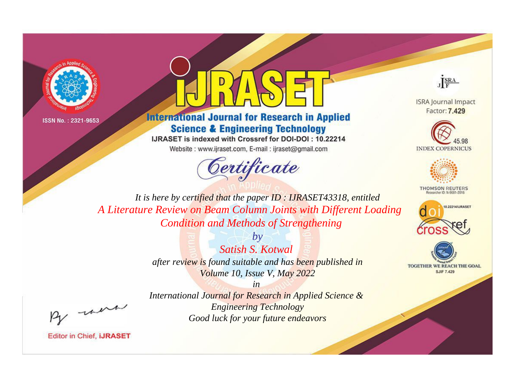



# **International Journal for Research in Applied Science & Engineering Technology**

IJRASET is indexed with Crossref for DOI-DOI: 10.22214

Website: www.ijraset.com, E-mail: ijraset@gmail.com





**ISRA Journal Impact** Factor: 7.429





**THOMSON REUTERS** 



TOGETHER WE REACH THE GOAL **SJIF 7.429** 

*It is here by certified that the paper ID : IJRASET43318, entitled A Literature Review on Beam Column Joints with Different Loading Condition and Methods of Strengthening*

> *by Satish S. Kotwal after review is found suitable and has been published in Volume 10, Issue V, May 2022*

, un

*International Journal for Research in Applied Science & Engineering Technology Good luck for your future endeavors*

*in*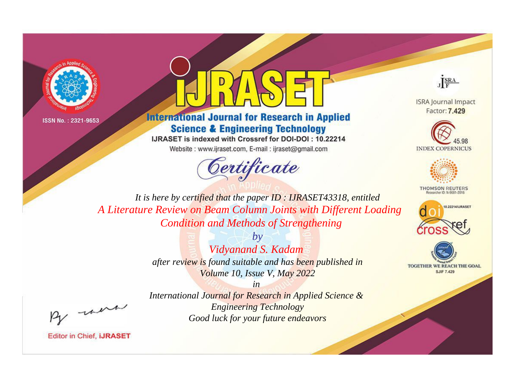



# **International Journal for Research in Applied Science & Engineering Technology**

IJRASET is indexed with Crossref for DOI-DOI: 10.22214 Website: www.ijraset.com, E-mail: ijraset@gmail.com



JERA

**ISRA Journal Impact** Factor: 7.429





**THOMSON REUTERS** 



TOGETHER WE REACH THE GOAL **SJIF 7.429** 

*It is here by certified that the paper ID : IJRASET43318, entitled A Literature Review on Beam Column Joints with Different Loading Condition and Methods of Strengthening*

> *by Vidyanand S. Kadam after review is found suitable and has been published in Volume 10, Issue V, May 2022*

, un

*International Journal for Research in Applied Science & Engineering Technology Good luck for your future endeavors*

*in*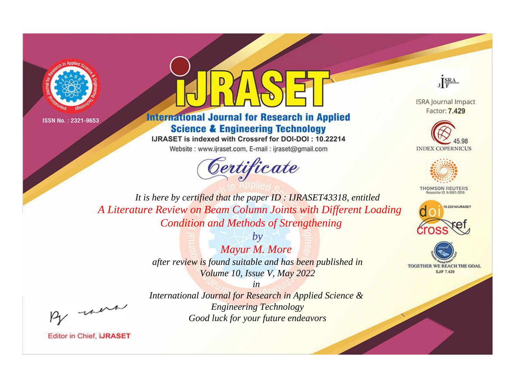



# **International Journal for Research in Applied Science & Engineering Technology**

IJRASET is indexed with Crossref for DOI-DOI: 10.22214

Website: www.ijraset.com, E-mail: ijraset@gmail.com





**ISRA Journal Impact** Factor: 7.429





**THOMSON REUTERS** 



TOGETHER WE REACH THE GOAL **SJIF 7.429** 

*It is here by certified that the paper ID : IJRASET43318, entitled A Literature Review on Beam Column Joints with Different Loading Condition and Methods of Strengthening*

> *by Mayur M. More after review is found suitable and has been published in Volume 10, Issue V, May 2022*

, un

*International Journal for Research in Applied Science & Engineering Technology Good luck for your future endeavors*

*in*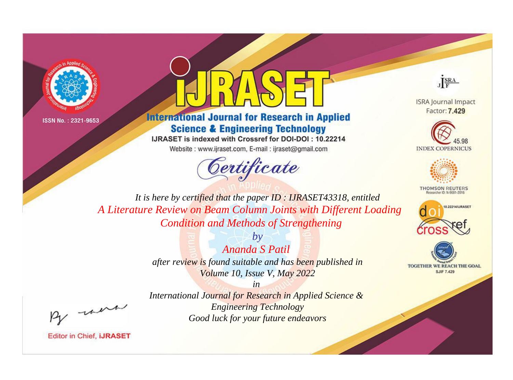



# **International Journal for Research in Applied Science & Engineering Technology**

IJRASET is indexed with Crossref for DOI-DOI: 10.22214

Website: www.ijraset.com, E-mail: ijraset@gmail.com





**ISRA Journal Impact** Factor: 7.429





**THOMSON REUTERS** 



TOGETHER WE REACH THE GOAL **SJIF 7.429** 

*It is here by certified that the paper ID : IJRASET43318, entitled A Literature Review on Beam Column Joints with Different Loading Condition and Methods of Strengthening*

> *by Ananda S Patil after review is found suitable and has been published in Volume 10, Issue V, May 2022*

, un

*International Journal for Research in Applied Science & Engineering Technology Good luck for your future endeavors*

*in*